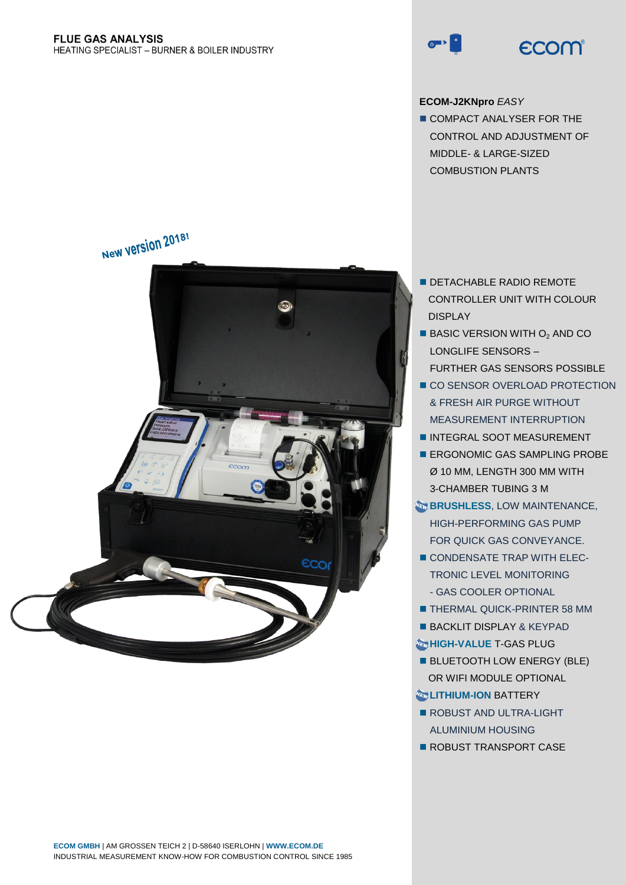

# **ECOM-J2KNpro** *EASY*

COMPACT ANALYSER FOR THE CONTROL AND ADJUSTMENT OF MIDDLE- & LARGE-SIZED COMBUSTION PLANTS

- **DETACHABLE RADIO REMOTE** CONTROLLER UNIT WITH COLOUR DISPLAY
- $\blacksquare$  BASIC VERSION WITH  $O<sub>2</sub>$  AND CO LONGLIFE SENSORS – FURTHER GAS SENSORS POSSIBLE
- CO SENSOR OVERLOAD PROTECTION & FRESH AIR PURGE WITHOUT MEASUREMENT INTERRUPTION
- **INTEGRAL SOOT MEASUREMENT**
- **ERGONOMIC GAS SAMPLING PROBE** Ø 10 MM, LENGTH 300 MM WITH 3-CHAMBER TUBING 3 M
- **BRUSHLESS, LOW MAINTENANCE,** HIGH-PERFORMING GAS PUMP FOR QUICK GAS CONVEYANCE.
- CONDENSATE TRAP WITH ELEC-TRONIC LEVEL MONITORING - GAS COOLER OPTIONAL
- **THERMAL QUICK-PRINTER 58 MM**
- **BACKLIT DISPLAY & KEYPAD**
- **<b>METHIGH-VALUE T-GAS PLUG**
- **BLUETOOTH LOW ENERGY (BLE)** OR WIFI MODULE OPTIONAL

# **Co** LITHIUM-ION BATTERY

- ROBUST AND ULTRA-LIGHT ALUMINIUM HOUSING
- **ROBUST TRANSPORT CASE**

ററ

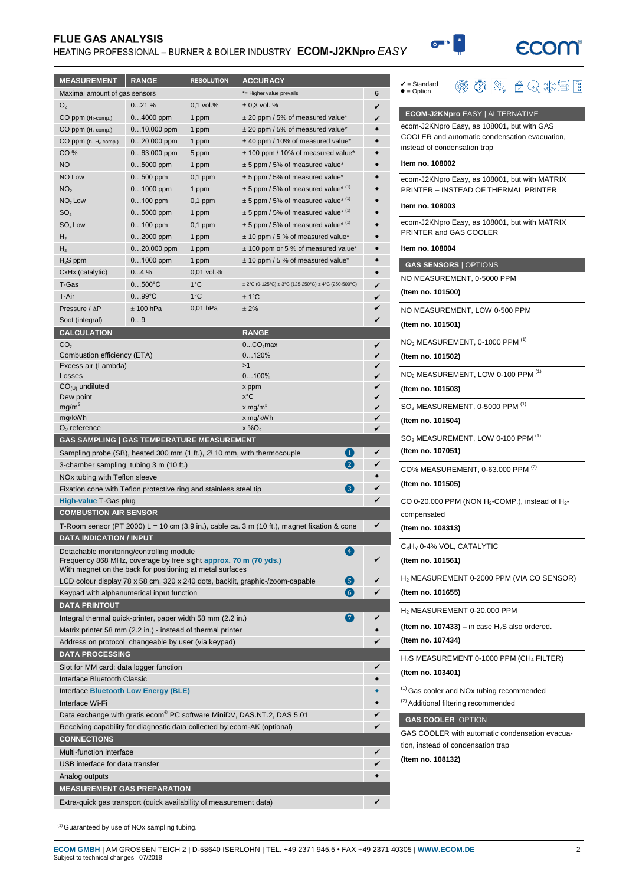# **FLUE GAS ANALYSIS**

# HEATING PROFESSIONAL - BURNER & BOILER INDUSTRY ECOM-J2KNpro EASY



**@ 0 % 8 Q \* 5 B** 

✔ = Standard<br>● = Option

 $\circ$ 

| <b>MEASUREMENT</b>                                                                                               | <b>RANGE</b>    | <b>RESOLUTION</b> | <b>ACCURACY</b>                                                                             |           |
|------------------------------------------------------------------------------------------------------------------|-----------------|-------------------|---------------------------------------------------------------------------------------------|-----------|
| Maximal amount of gas sensors                                                                                    |                 |                   | *= Higher value prevails                                                                    | 6         |
| O <sub>2</sub>                                                                                                   | 021%            | $0.1$ vol.%       | $\pm$ 0.3 vol. %                                                                            | ✓         |
| CO ppm (H <sub>2</sub> -comp.)                                                                                   | $04000$ ppm     | 1 ppm             | ± 20 ppm / 5% of measured value*                                                            | ✓         |
| $CO$ ppm ( $H_2$ -comp.)                                                                                         | $010.000$ ppm   | 1 ppm             | ± 20 ppm / 5% of measured value*                                                            |           |
| CO ppm (n. H <sub>2</sub> -comp.)                                                                                | $020.000$ ppm   | 1 ppm             | ± 40 ppm / 10% of measured value*                                                           | $\bullet$ |
| CO <sub>%</sub>                                                                                                  | $063.000$ ppm   | 5 ppm             | ± 100 ppm / 10% of measured value*                                                          |           |
| <b>NO</b>                                                                                                        | $05000$ ppm     | 1 ppm             | $\pm$ 5 ppm / 5% of measured value*                                                         |           |
| NO Low                                                                                                           | $0500$ ppm      | $0,1$ ppm         | ± 5 ppm / 5% of measured value*                                                             |           |
| NO <sub>2</sub>                                                                                                  | $01000$ ppm     | 1 ppm             | $\pm$ 5 ppm / 5% of measured value* $(1)$                                                   |           |
| $NO2$ Low                                                                                                        | $0100$ ppm      | $0,1$ ppm         | $\pm$ 5 ppm / 5% of measured value* $(1)$                                                   |           |
| SO <sub>2</sub>                                                                                                  | $05000$ ppm     | 1 ppm             | $\pm$ 5 ppm / 5% of measured value* (1)                                                     |           |
| $SO2$ Low                                                                                                        | $0100$ ppm      | $0,1$ ppm         | $\pm$ 5 ppm / 5% of measured value* $(1)$                                                   |           |
| H <sub>2</sub>                                                                                                   | $02000$ ppm     | 1 ppm             | ± 10 ppm / 5 % of measured value*                                                           |           |
| H <sub>2</sub>                                                                                                   | $020.000$ ppm   | 1 ppm             | ± 100 ppm or 5 % of measured value*                                                         |           |
| $H2S$ ppm                                                                                                        | $01000$ ppm     | 1 ppm             | $± 10$ ppm / 5 % of measured value*                                                         | $\bullet$ |
| CxHx (catalytic)                                                                                                 | 04%             | 0,01 vol.%        |                                                                                             | $\bullet$ |
| T-Gas                                                                                                            | $0500^{\circ}C$ | 1°C               | $\pm 2^{\circ}$ C (0-125°C) $\pm 3^{\circ}$ C (125-250°C) $\pm 4^{\circ}$ C (250-500°C)     | ✓         |
| T-Air                                                                                                            | $099^{\circ}C$  | $1^{\circ}$ C     | ± 1°C                                                                                       | ✓         |
| Pressure / $\Delta P$                                                                                            | $± 100$ hPa     | 0,01 hPa          | ± 2%                                                                                        | ✓         |
| Soot (integral)                                                                                                  | 09              |                   |                                                                                             | ✓         |
| <b>CALCULATION</b>                                                                                               |                 |                   | <b>RANGE</b>                                                                                |           |
| CO <sub>2</sub>                                                                                                  |                 |                   | 0CO <sub>2</sub> max                                                                        | ✓         |
| Combustion efficiency (ETA)                                                                                      |                 |                   | 0120%                                                                                       | ✓         |
| Excess air (Lambda)                                                                                              |                 |                   | >1                                                                                          | ✓         |
| Losses                                                                                                           |                 |                   | 0100%                                                                                       | ✓         |
| $CO(U)$ undiluted                                                                                                |                 |                   | x ppm                                                                                       | ✓         |
| Dew point                                                                                                        |                 |                   | x°C                                                                                         | ✓         |
| mg/m <sup>3</sup>                                                                                                |                 |                   | x mg/m <sup>3</sup>                                                                         | ✓         |
| mg/kWh<br>$O2$ reference                                                                                         |                 |                   | x mg/kWh<br>$x\%O2$                                                                         | ✓<br>✓    |
| <b>GAS SAMPLING   GAS TEMPERATURE MEASUREMENT</b>                                                                |                 |                   |                                                                                             |           |
|                                                                                                                  |                 |                   |                                                                                             | ✓         |
| $\blacksquare$<br>Sampling probe (SB), heated 300 mm (1 ft.), $\varnothing$ 10 mm, with thermocouple<br>$\bf(2)$ |                 |                   | ✓                                                                                           |           |
| 3-chamber sampling tubing 3 m (10 ft.)                                                                           |                 |                   |                                                                                             | $\bullet$ |
| NOx tubing with Teflon sleeve                                                                                    |                 |                   | 3                                                                                           |           |
| Fixation cone with Teflon protective ring and stainless steel tip                                                |                 |                   |                                                                                             | ✓         |
| High-value T-Gas plug                                                                                            |                 |                   |                                                                                             |           |
| <b>COMBUSTION AIR SENSOR</b>                                                                                     |                 |                   |                                                                                             |           |
|                                                                                                                  |                 |                   | T-Room sensor (PT 2000) L = 10 cm (3.9 in.), cable ca. 3 m (10 ft.), magnet fixation & cone | ✓         |
| <b>DATA INDICATION / INPUT</b>                                                                                   |                 |                   |                                                                                             |           |
| Detachable monitoring/controlling module<br>Frequency 868 MHz, coverage by free sight approx. 70 m (70 yds.)     |                 |                   | $\overline{A}$                                                                              |           |
| With magnet on the back for positioning at metal surfaces                                                        |                 |                   |                                                                                             |           |
|                                                                                                                  |                 |                   | 6<br>LCD colour display 78 x 58 cm, 320 x 240 dots, backlit, graphic-/zoom-capable          |           |
| Keypad with alphanumerical input function                                                                        |                 |                   | $\left( 6\right)$                                                                           |           |
| <b>DATA PRINTOUT</b>                                                                                             |                 |                   |                                                                                             |           |
| Integral thermal quick-printer, paper width 58 mm (2.2 in.)                                                      |                 |                   | $\left( 7\right)$                                                                           |           |
| Matrix printer 58 mm (2.2 in.) - instead of thermal printer                                                      |                 |                   |                                                                                             |           |
| Address on protocol changeable by user (via keypad)                                                              |                 |                   |                                                                                             |           |
| <b>DATA PROCESSING</b>                                                                                           |                 |                   |                                                                                             |           |
| Slot for MM card; data logger function                                                                           |                 |                   |                                                                                             |           |
| Interface Bluetooth Classic                                                                                      |                 |                   |                                                                                             |           |
| Interface Bluetooth Low Energy (BLE)                                                                             |                 |                   |                                                                                             |           |
| Interface Wi-Fi                                                                                                  |                 |                   |                                                                                             |           |
| Data exchange with gratis ecom <sup>®</sup> PC software MiniDV, DAS.NT.2, DAS 5.01                               |                 |                   |                                                                                             |           |
| Receiving capability for diagnostic data collected by ecom-AK (optional)                                         |                 |                   | ✓                                                                                           |           |
| <b>CONNECTIONS</b>                                                                                               |                 |                   |                                                                                             |           |
| Multi-function interface                                                                                         |                 |                   |                                                                                             |           |
| USB interface for data transfer                                                                                  |                 |                   |                                                                                             |           |
| Analog outputs                                                                                                   |                 |                   |                                                                                             |           |
| <b>MEASUREMENT GAS PREPARATION</b>                                                                               |                 |                   |                                                                                             |           |
| Extra-quick gas transport (quick availability of measurement data)                                               |                 |                   |                                                                                             | ✓         |
|                                                                                                                  |                 |                   |                                                                                             |           |

| <b>ECOM-J2KNpro EASY   ALTERNATIVE</b>                                                                                      |
|-----------------------------------------------------------------------------------------------------------------------------|
| ecom-J2KNpro Easy, as 108001, but with GAS<br>COOLER and automatic condensation evacuation,<br>instead of condensation trap |
| Item no. 108002                                                                                                             |
| ecom-J2KNpro Easy, as 108001, but with MATRIX<br>PRINTER - INSTEAD OF THERMAL PRINTER                                       |
| Item no. 108003                                                                                                             |
| ecom-J2KNpro Easy, as 108001, but with MATRIX<br>PRINTER and GAS COOLER                                                     |
| Item no. 108004                                                                                                             |
| <b>GAS SENSORS   OPTIONS</b>                                                                                                |
| NO MEASUREMENT, 0-5000 PPM                                                                                                  |
| (Item no. 101500)                                                                                                           |
| NO MEASUREMENT, LOW 0-500 PPM                                                                                               |
| (Item no. 101501)                                                                                                           |
| NO <sub>2</sub> MEASUREMENT, 0-1000 PPM <sup>(1)</sup>                                                                      |
| (Item no. 101502)                                                                                                           |
| NO <sub>2</sub> MEASUREMENT, LOW 0-100 PPM (1)                                                                              |
| (Item no. 101503)                                                                                                           |
| SO <sub>2</sub> MEASUREMENT, 0-5000 PPM <sup>(1)</sup>                                                                      |
| (Item no. 101504)                                                                                                           |
| SO <sub>2</sub> MEASUREMENT, LOW 0-100 PPM <sup>(1)</sup>                                                                   |
| (Item no. 107051)                                                                                                           |
| CO% MEASUREMENT, 0-63.000 PPM <sup>(2)</sup>                                                                                |
| (Item no. 101505)                                                                                                           |
| CO 0-20.000 PPM (NON H <sub>2</sub> -COMP.), instead of H <sub>2</sub> -                                                    |
| compensated                                                                                                                 |
| (Item no. 108313)                                                                                                           |
| $C_xH_y$ 0-4% VOL, CATALYTIC                                                                                                |
| (Item no. 101561)                                                                                                           |
| H <sub>2</sub> MEASUREMENT 0-2000 PPM (VIA CO SENSOR)                                                                       |
| (Item no. 101655)                                                                                                           |
| H <sub>2</sub> MEASUREMENT 0-20.000 PPM                                                                                     |
| (Item no. 107433) – in case $H_2S$ also ordered.<br>(Item no. 107434)                                                       |
| $H_2$ S MEASUREMENT 0-1000 PPM (CH <sub>4</sub> FILTER)                                                                     |
| (Item no. 103401)                                                                                                           |
| <sup>(1)</sup> Gas cooler and NOx tubing recommended                                                                        |
| <sup>(2)</sup> Additional filtering recommended                                                                             |
| <b>GAS COOLER OPTION</b>                                                                                                    |
| GAS COOLER with automatic condensation evacua-                                                                              |
| tion, instead of condensation trap                                                                                          |
| (Item no. 108132)                                                                                                           |
|                                                                                                                             |

(1) Guaranteed by use of NOx sampling tubing.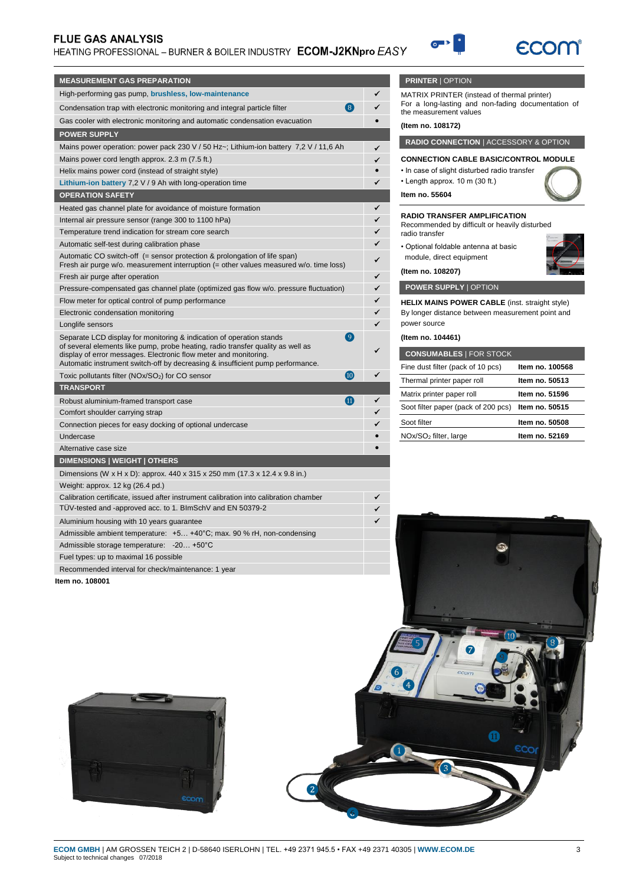# **FLUE GAS ANALYSIS**

# HEATING PROFESSIONAL - BURNER & BOILER INDUSTRY ECOM-J2KNpro EASY



| <b>MEASUREMENT GAS PREPARATION</b>                                                                                                                                                                                                                                                                                        |   |
|---------------------------------------------------------------------------------------------------------------------------------------------------------------------------------------------------------------------------------------------------------------------------------------------------------------------------|---|
| High-performing gas pump, brushless, low-maintenance                                                                                                                                                                                                                                                                      | ✓ |
| $\left( 8 \right)$<br>Condensation trap with electronic monitoring and integral particle filter                                                                                                                                                                                                                           |   |
| Gas cooler with electronic monitoring and automatic condensation evacuation                                                                                                                                                                                                                                               |   |
| <b>POWER SUPPLY</b>                                                                                                                                                                                                                                                                                                       |   |
| Mains power operation: power pack 230 V / 50 Hz~; Lithium-ion battery 7,2 V / 11,6 Ah                                                                                                                                                                                                                                     | ✓ |
| Mains power cord length approx. 2.3 m (7.5 ft.)                                                                                                                                                                                                                                                                           | ✓ |
| Helix mains power cord (instead of straight style)                                                                                                                                                                                                                                                                        |   |
| Lithium-ion battery $7,2 \vee 9$ Ah with long-operation time                                                                                                                                                                                                                                                              |   |
| <b>OPERATION SAFETY</b>                                                                                                                                                                                                                                                                                                   |   |
| Heated gas channel plate for avoidance of moisture formation                                                                                                                                                                                                                                                              | ✓ |
| Internal air pressure sensor (range 300 to 1100 hPa)                                                                                                                                                                                                                                                                      | ✓ |
| Temperature trend indication for stream core search                                                                                                                                                                                                                                                                       | ✓ |
| Automatic self-test during calibration phase                                                                                                                                                                                                                                                                              |   |
| Automatic CO switch-off (= sensor protection & prolongation of life span)<br>Fresh air purge w/o. measurement interruption (= other values measured w/o. time loss)                                                                                                                                                       |   |
| Fresh air purge after operation                                                                                                                                                                                                                                                                                           | ✓ |
| Pressure-compensated gas channel plate (optimized gas flow w/o. pressure fluctuation)                                                                                                                                                                                                                                     | ✓ |
| Flow meter for optical control of pump performance                                                                                                                                                                                                                                                                        | ✓ |
| Electronic condensation monitoring                                                                                                                                                                                                                                                                                        |   |
| Longlife sensors                                                                                                                                                                                                                                                                                                          |   |
| <b>g</b><br>Separate LCD display for monitoring & indication of operation stands<br>of several elements like pump, probe heating, radio transfer quality as well as<br>display of error messages. Electronic flow meter and monitoring.<br>Automatic instrument switch-off by decreasing & insufficient pump performance. |   |
| 10<br>Toxic pollutants filter (NOx/SO <sub>2</sub> ) for CO sensor                                                                                                                                                                                                                                                        |   |
| <b>TRANSPORT</b>                                                                                                                                                                                                                                                                                                          |   |
| M<br>Robust aluminium-framed transport case                                                                                                                                                                                                                                                                               |   |
| Comfort shoulder carrying strap                                                                                                                                                                                                                                                                                           |   |
| Connection pieces for easy docking of optional undercase                                                                                                                                                                                                                                                                  |   |
| Undercase                                                                                                                                                                                                                                                                                                                 |   |
| Alternative case size                                                                                                                                                                                                                                                                                                     |   |
| DIMENSIONS   WEIGHT   OTHERS                                                                                                                                                                                                                                                                                              |   |
| Dimensions (W x H x D): approx. 440 x 315 x 250 mm (17.3 x 12.4 x 9.8 in.)                                                                                                                                                                                                                                                |   |
| Weight: approx. 12 kg (26.4 pd.)                                                                                                                                                                                                                                                                                          |   |
| Calibration certificate, issued after instrument calibration into calibration chamber                                                                                                                                                                                                                                     |   |
| TUV-tested and -approved acc. to 1. BImSchV and EN 50379-2                                                                                                                                                                                                                                                                |   |
| Aluminium housing with 10 years guarantee                                                                                                                                                                                                                                                                                 | ✓ |
| Admissible ambient temperature: $+5+40^{\circ}$ C; max. 90 % rH, non-condensing                                                                                                                                                                                                                                           |   |
| Admissible storage temperature: -20 +50°C                                                                                                                                                                                                                                                                                 |   |
| Fuel types: up to maximal 16 possible                                                                                                                                                                                                                                                                                     |   |

# **PRINTER** | OPTION

MATRIX PRINTER (instead of thermal printer) For a long-lasting and non-fading documentation of the measurement values

#### **(Item no. 108172)**

**RADIO CONNECTION** | ACCESSORY & OPTION

# **CONNECTION CABLE BASIC/CONTROL MODULE**

- In case of slight disturbed radio transfer
- Length approx. 10 m (30 ft.)

**Item no. 55604**

#### **RADIO TRANSFER AMPLIFICATION**

Recommended by difficult or heavily disturbed radio transfer

• Optional foldable antenna at basic module, direct equipment

**(Item no. 108207)**

**POWER SUPPLY** | OPTION

**HELIX MAINS POWER CABLE** (inst. straight style) By longer distance between measurement point and power source

#### **(Item no. 104461)**

| <b>CONSUMABLES   FOR STOCK</b>      |                 |
|-------------------------------------|-----------------|
| Fine dust filter (pack of 10 pcs)   | Item no. 100568 |
| Thermal printer paper roll          | Item no. 50513  |
| Matrix printer paper roll           | Item no. 51596  |
| Soot filter paper (pack of 200 pcs) | Item no. 50515  |
| Soot filter                         | Item no. 50508  |
| NOx/SO <sub>2</sub> filter, large   | Item no. 52169  |



Recommended interval for check/maintenance: 1 year

**Item no. 108001**

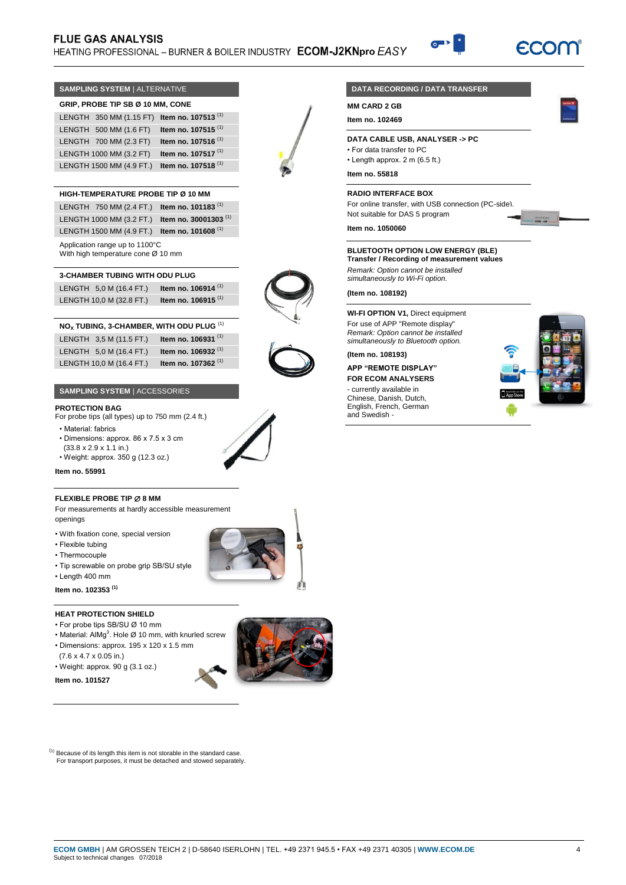# **FLUE GAS ANALYSIS** HEATING PROFESSIONAL - BURNER & BOILER INDUSTRY ECOM-J2KNpro EASY

## **SAMPLING SYSTEM** | ALTERNATIVE **GRIP, PROBE TIP SB Ø 10 MM, CONE**

| LENGTH 350 MM (1.15 FT) Item no. 107513 <sup>(1)</sup> |                                |
|--------------------------------------------------------|--------------------------------|
| LENGTH 500 MM (1.6 FT)                                 | Item no. 107515 $(1)$          |
| LENGTH 700 MM (2.3 FT)                                 | Item no. 107516 <sup>(1)</sup> |
| LENGTH 1000 MM (3.2 FT)                                | Item no. 107517 <sup>(1)</sup> |
| LENGTH 1500 MM (4.9 FT.)                               | Item no. 107518 <sup>(1)</sup> |

## **HIGH-TEMPERATURE PROBE TIP Ø 10 MM**

|                                | LENGTH 750 MM (2.4 FT.) Item no. 101183 <sup>(1)</sup>    |
|--------------------------------|-----------------------------------------------------------|
|                                | LENGTH 1000 MM (3.2 FT.) Item no. 30001303 <sup>(1)</sup> |
|                                | LENGTH 1500 MM (4.9 FT.) Item no. 101608 <sup>(1)</sup>   |
| Application range up to 1100°C |                                                           |

With high temperature cone Ø 10 mm

| <b>3-CHAMBER TUBING WITH ODU PLUG</b> |                                |  |
|---------------------------------------|--------------------------------|--|
| LENGTH 5,0 M (16.4 FT.)               | Item no. 106914 $(1)$          |  |
| LENGTH 10,0 M (32.8 FT.)              | Item no. 106915 <sup>(1)</sup> |  |

| NO <sub>x</sub> TUBING, 3-CHAMBER, WITH ODU PLUG <sup>(1)</sup> |                                |
|-----------------------------------------------------------------|--------------------------------|
| LENGTH 3,5 M (11.5 FT.)                                         | Item no. 106931 <sup>(1)</sup> |
| LENGTH 5,0 M (16.4 FT.)                                         | Item no. 106932 <sup>(1)</sup> |
| LENGTH 10,0 M (16.4 FT.)                                        | Item no. 107362 <sup>(1)</sup> |

## **SAMPLING SYSTEM** | ACCESSORIES

## **PROTECTION BAG**

For probe tips (all types) up to 750 mm (2.4 ft.)

- Material: fabrics
- 
- Dimensions: approx. 86 x 7.5 x 3 cm (33.8 x 2.9 x 1.1 in.)
- Weight: approx. 350 g (12.3 oz.)

## **Item no. 55991**

### **FLEXIBLE PROBE TIP**  $\varnothing$  **8 MM**

For measurements at hardly accessible measurement openings

- With fixation cone, special version
- Flexible tubing
- Thermocouple
- Tip screwable on probe grip SB/SU style
- Length 400 mm

## **Item no. 102353 (1)**

## **HEAT PROTECTION SHIELD**

- For probe tips SB/SU Ø 10 mm
- Material: AlMg<sup>3</sup>. Hole Ø 10 mm, with knurled screw • Dimensions: approx. 195 x 120 x 1.5 mm
- (7.6 x 4.7 x 0.05 in.)
- Weight: approx. 90 g (3.1 oz.)
- **Item no. 101527**

 $<sup>(1)</sup>$  Because of its length this item is not storable in the standard case.</sup> For transport purposes, it must be detached and stowed separately.

# **DATA RECORDING / DATA TRANSFER**

**MM CARD 2 GB**

**Item no. 102469**

## **DATA CABLE USB, ANALYSER -> PC**

- For data transfer to PC
- Length approx. 2 m (6.5 ft.)

**Item no. 55818**

## **RADIO INTERFACE BOX**

For online transfer, with USB connection (PC-side). Not suitable for DAS 5 program

**Item no. 1050060**

## **BLUETOOTH OPTION LOW ENERGY (BLE)**

**Transfer / Recording of measurement values**

*Remark: Option cannot be installed simultaneously to Wi-Fi option.*

**(Item no. 108192)**

**WI-FI OPTION V1,** Direct equipment For use of APP "Remote display" *Remark: Option cannot be installed simultaneously to Bluetooth option.*

## **(Item no. 108193)**

### **APP "REMOTE DISPLAY" FOR ECOM ANALYSERS**

- currently available in Chinese, Danish, Dutch, English, French, German and Swedish -









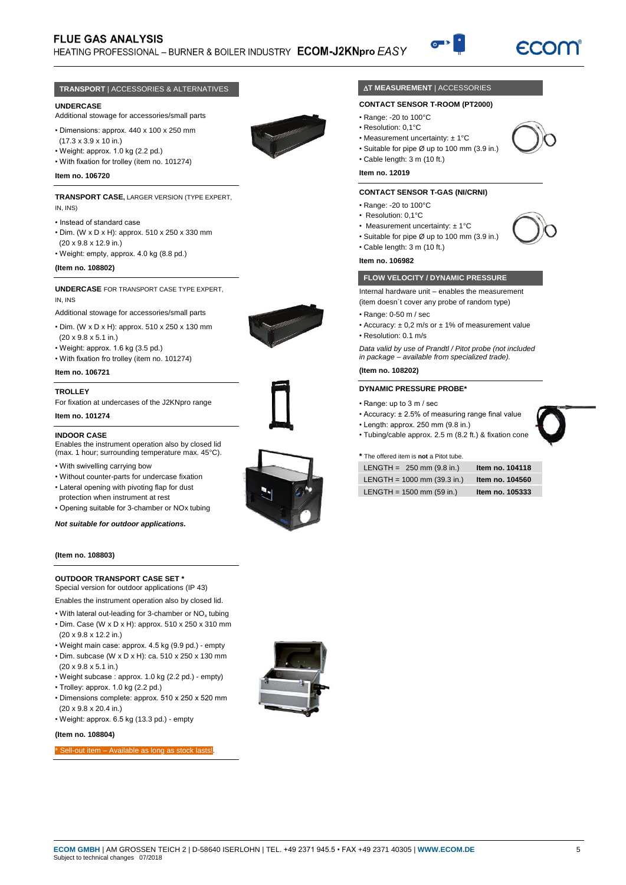# **FLUE GAS ANALYSIS**

HEATING PROFESSIONAL - BURNER & BOILER INDUSTRY ECOM-J2KNpro EASY



### **TRANSPORT** | ACCESSORIES & ALTERNATIVES

#### **UNDERCASE**

Additional stowage for accessories/small parts

• Dimensions: approx. 440 x 100 x 250 mm (17.3 x 3.9 x 10 in.)



• With fixation for trolley (item no. 101274)

#### **Item no. 106720**

#### **TRANSPORT CASE,** LARGER VERSION (TYPE EXPERT, IN, INS)

- Instead of standard case
- Dim. (W x D x H): approx. 510 x 250 x 330 mm (20 x 9.8 x 12.9 in.)
- Weight: empty, approx. 4.0 kg (8.8 pd.)

#### **(Item no. 108802)**

**UNDERCASE** FOR TRANSPORT CASE TYPE EXPERT, IN, INS

- Additional stowage for accessories/small parts
- Dim. (W x D x H): approx. 510 x 250 x 130 mm
- (20 x 9.8 x 5.1 in.)
- Weight: approx. 1.6 kg (3.5 pd.)
- With fixation fro trolley (item no. 101274)

# **Item no. 106721**

#### **TROLLEY**

For fixation at undercases of the J2KNpro range **Item no. 101274**

# **INDOOR CASE**

Enables the instrument operation also by closed lid (max. 1 hour; surrounding temperature max. 45°C).

- With swivelling carrying bow
- Without counter-parts for undercase fixation
- Lateral opening with pivoting flap for dust protection when instrument at rest
- Opening suitable for 3-chamber or NOx tubing

*Not suitable for outdoor applications.*

#### **(Item no. 108803)**

#### **OUTDOOR TRANSPORT CASE SET \*** Special version for outdoor applications (IP 43)

- Enables the instrument operation also by closed lid.
- With lateral out-leading for 3-chamber or NO<sub>x</sub> tubing • Dim. Case (W x D x H): approx. 510 x 250 x 310 mm
- (20 x 9.8 x 12.2 in.) • Weight main case: approx. 4.5 kg (9.9 pd.) - empty
- Dim. subcase (W x D x H): ca. 510 x 250 x 130 mm
- (20 x 9.8 x 5.1 in.)
- Weight subcase : approx. 1.0 kg (2.2 pd.) empty)
- Trolley: approx. 1.0 kg (2.2 pd.)
- Dimensions complete: approx. 510 x 250 x 520 mm (20 x 9.8 x 20.4 in.)
- Weight: approx. 6.5 kg (13.3 pd.) empty

#### **(Item no. 108804)**

Sell-out item – Available as long as stock lasts!



## **AT MEASUREMENT | ACCESSORIES**

### **CONTACT SENSOR T-ROOM (PT2000)**

- Range: -20 to 100°C
- Resolution: 0,1°C
- Measurement uncertainty: ± 1°C
- Suitable for pipe Ø up to 100 mm (3.9 in.)
- Cable length: 3 m (10 ft.)

## **Item no. 12019**

## **CONTACT SENSOR T-GAS (NI/CRNI)**

- Range: -20 to 100°C
- Resolution: 0,1°C
- Measurement uncertainty: ± 1°C
- Suitable for pipe Ø up to 100 mm (3.9 in.)
- Cable length: 3 m (10 ft.)

#### **Item no. 106982**

### **FLOW VELOCITY / DYNAMIC PRESSURE**

Internal hardware unit – enables the measurement

(item doesn´t cover any probe of random type)

- Range: 0-50 m / sec
- Accuracy:  $\pm$  0.2 m/s or  $\pm$  1% of measurement value • Resolution: 0.1 m/s

*Data valid by use of Prandtl / Pitot probe (not included in package – available from specialized trade).*

#### **(Item no. 108202)**

#### **DYNAMIC PRESSURE PROBE\***

- Range: up to 3 m / sec
- Accuracy: ± 2.5% of measuring range final value
- Length: approx. 250 mm (9.8 in.)
- Tubing/cable approx. 2.5 m (8.2 ft.) & fixation cone

#### **\*** The offered item is **not** a Pitot tube.

| LENGTH = $250$ mm (9.8 in.)   | Item no. 104118 |
|-------------------------------|-----------------|
| LENGTH = $1000$ mm (39.3 in.) | Item no. 104560 |
| LENGTH = $1500$ mm (59 in.)   | Item no. 105333 |